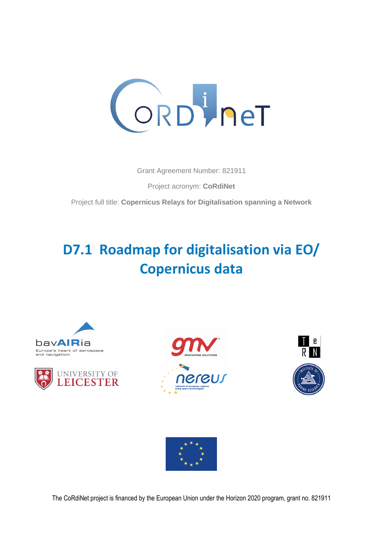

Grant Agreement Number: 821911

Project acronym: **CoRdiNet**

Project full title: **Copernicus Relays for Digitalisation spanning a Network**

# **D7.1 Roadmap for digitalisation via EO/ Copernicus data**











The CoRdiNet project is financed by the European Union under the Horizon 2020 program, grant no. 821911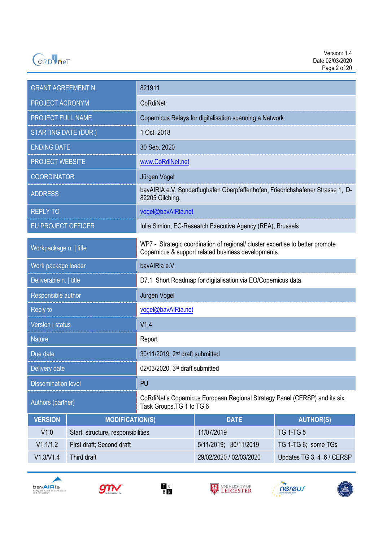

| <b>GRANT AGREEMENT N.</b>   |                                    | 821911                                                                                                                               |                         |                            |  |
|-----------------------------|------------------------------------|--------------------------------------------------------------------------------------------------------------------------------------|-------------------------|----------------------------|--|
| PROJECT ACRONYM             |                                    | CoRdiNet                                                                                                                             |                         |                            |  |
| PROJECT FULL NAME           |                                    | Copernicus Relays for digitalisation spanning a Network                                                                              |                         |                            |  |
| <b>STARTING DATE (DUR.)</b> |                                    | 1 Oct. 2018                                                                                                                          |                         |                            |  |
| <b>ENDING DATE</b>          |                                    | 30 Sep. 2020                                                                                                                         |                         |                            |  |
| <b>PROJECT WEBSITE</b>      |                                    | www.CoRdiNet.net                                                                                                                     |                         |                            |  |
| <b>COORDINATOR</b>          |                                    | Jürgen Vogel                                                                                                                         |                         |                            |  |
| <b>ADDRESS</b>              |                                    | bavAIRIA e.V. Sonderflughafen Oberpfaffenhofen, Friedrichshafener Strasse 1, D-<br>82205 Gilching.                                   |                         |                            |  |
| <b>REPLY TO</b>             |                                    | vogel@bavAlRia.net                                                                                                                   |                         |                            |  |
| <b>EU PROJECT OFFICER</b>   |                                    | Iulia Simion, EC-Research Executive Agency (REA), Brussels                                                                           |                         |                            |  |
| Workpackage n.   title      |                                    | WP7 - Strategic coordination of regional/ cluster expertise to better promote<br>Copernicus & support related business developments. |                         |                            |  |
| Work package leader         |                                    | bavAlRia e.V.                                                                                                                        |                         |                            |  |
| Deliverable n.   title      |                                    | D7.1 Short Roadmap for digitalisation via EO/Copernicus data                                                                         |                         |                            |  |
| Responsible author          |                                    | Jürgen Vogel                                                                                                                         |                         |                            |  |
| Reply to                    |                                    | vogel@bavAlRia.net                                                                                                                   |                         |                            |  |
| Version   status            |                                    | V1.4                                                                                                                                 |                         |                            |  |
| <b>Nature</b>               |                                    | Report                                                                                                                               |                         |                            |  |
| Due date                    |                                    | 30/11/2019, 2 <sup>nd</sup> draft submitted                                                                                          |                         |                            |  |
| Delivery date               |                                    | 02/03/2020, 3rd draft submitted                                                                                                      |                         |                            |  |
| <b>Dissemination level</b>  |                                    | PU                                                                                                                                   |                         |                            |  |
| Authors (partner)           |                                    | CoRdiNet's Copernicus European Regional Strategy Panel (CERSP) and its six<br>Task Groups, TG 1 to TG 6                              |                         |                            |  |
| <b>VERSION</b>              | <b>MODIFICATION(S)</b>             |                                                                                                                                      | <b>DATE</b>             | <b>AUTHOR(S)</b>           |  |
| V1.0                        | Start, structure, responsibilities |                                                                                                                                      | 11/07/2019              | <b>TG 1-TG 5</b>           |  |
| V1.1/1.2                    | First draft; Second draft          |                                                                                                                                      | 5/11/2019; 30/11/2019   | TG 1-TG 6; some TGs        |  |
| V1.3/V1.4<br>Third draft    |                                    |                                                                                                                                      | 29/02/2020 / 02/03/2020 | Updates TG 3, 4, 6 / CERSP |  |











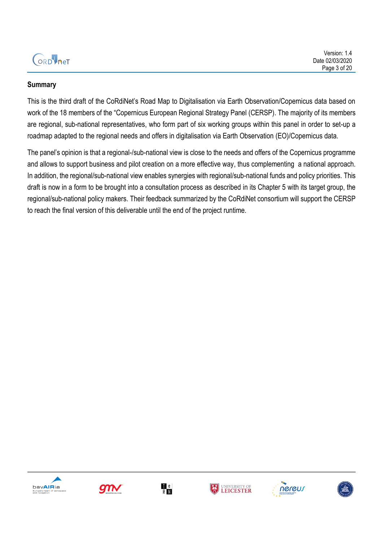

#### **Summary**

This is the third draft of the CoRdiNet's Road Map to Digitalisation via Earth Observation/Copernicus data based on work of the 18 members of the "Copernicus European Regional Strategy Panel (CERSP). The majority of its members are regional, sub-national representatives, who form part of six working groups within this panel in order to set-up a roadmap adapted to the regional needs and offers in digitalisation via Earth Observation (EO)/Copernicus data.

The panel's opinion is that a regional-/sub-national view is close to the needs and offers of the Copernicus programme and allows to support business and pilot creation on a more effective way, thus complementing a national approach. In addition, the regional/sub-national view enables synergies with regional/sub-national funds and policy priorities. This draft is now in a form to be brought into a consultation process as described in its Chapter 5 with its target group, the regional/sub-national policy makers. Their feedback summarized by the CoRdiNet consortium will support the CERSP to reach the final version of this deliverable until the end of the project runtime.











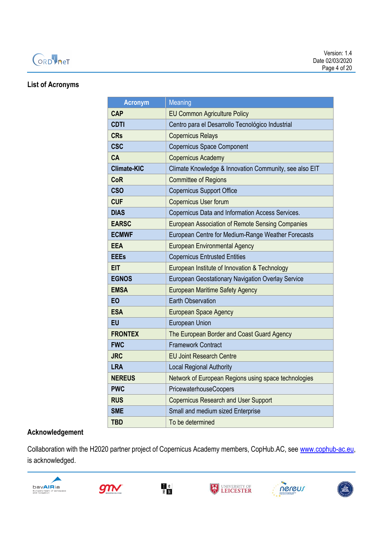

#### **List of Acronyms**

| <b>Acronym</b>     | Meaning                                                 |  |  |
|--------------------|---------------------------------------------------------|--|--|
| <b>CAP</b>         | <b>EU Common Agriculture Policy</b>                     |  |  |
| <b>CDTI</b>        | Centro para el Desarrollo Tecnológico Industrial        |  |  |
| <b>CRs</b>         | <b>Copernicus Relays</b>                                |  |  |
| <b>CSC</b>         | <b>Copernicus Space Component</b>                       |  |  |
| <b>CA</b>          | <b>Copernicus Academy</b>                               |  |  |
| <b>Climate-KIC</b> | Climate Knowledge & Innovation Community, see also EIT  |  |  |
| <b>CoR</b>         | <b>Committee of Regions</b>                             |  |  |
| <b>CSO</b>         | <b>Copernicus Support Office</b>                        |  |  |
| <b>CUF</b>         | Copernicus User forum                                   |  |  |
| <b>DIAS</b>        | Copernicus Data and Information Access Services.        |  |  |
| <b>EARSC</b>       | <b>European Association of Remote Sensing Companies</b> |  |  |
| <b>ECMWF</b>       | European Centre for Medium-Range Weather Forecasts      |  |  |
| EEA                | <b>European Environmental Agency</b>                    |  |  |
| <b>EEEs</b>        | <b>Copernicus Entrusted Entities</b>                    |  |  |
| <b>EIT</b>         | European Institute of Innovation & Technology           |  |  |
| <b>EGNOS</b>       | European Geostationary Navigation Overlay Service       |  |  |
| <b>EMSA</b>        | <b>European Maritime Safety Agency</b>                  |  |  |
| <b>EO</b>          | <b>Earth Observation</b>                                |  |  |
| <b>ESA</b>         | <b>European Space Agency</b>                            |  |  |
| <b>EU</b>          | <b>European Union</b>                                   |  |  |
| <b>FRONTEX</b>     | The European Border and Coast Guard Agency              |  |  |
| <b>FWC</b>         | <b>Framework Contract</b>                               |  |  |
| <b>JRC</b>         | <b>EU Joint Research Centre</b>                         |  |  |
| <b>LRA</b>         | <b>Local Regional Authority</b>                         |  |  |
| <b>NEREUS</b>      | Network of European Regions using space technologies    |  |  |
| <b>PWC</b>         | PricewaterhouseCoopers                                  |  |  |
| <b>RUS</b>         | <b>Copernicus Research and User Support</b>             |  |  |
| <b>SME</b>         | Small and medium sized Enterprise                       |  |  |
| <b>TBD</b>         | To be determined                                        |  |  |

#### **Acknowledgement**

Collaboration with the H2020 partner project of Copernicus Academy members, CopHub.AC, see [www.cophub-ac.eu,](http://www.cophub-ac.eu/) is acknowledged.











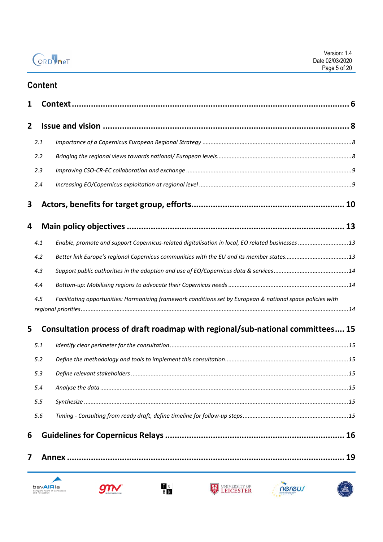|                | Version: 1.4    |
|----------------|-----------------|
| ORD <b>het</b> | Date 02/03/2020 |
|                | Page 5 of 20    |

# **Content**

| 1 |     |                                                                                                             |     |
|---|-----|-------------------------------------------------------------------------------------------------------------|-----|
| 2 |     |                                                                                                             |     |
|   | 2.1 |                                                                                                             |     |
|   | 2.2 |                                                                                                             |     |
|   | 2.3 |                                                                                                             |     |
|   | 2.4 |                                                                                                             |     |
| 3 |     |                                                                                                             |     |
| 4 |     |                                                                                                             |     |
|   | 4.1 | Enable, promote and support Copernicus-related digitalisation in local, EO related businesses  13           |     |
|   | 4.2 |                                                                                                             |     |
|   | 4.3 |                                                                                                             |     |
|   | 4.4 |                                                                                                             |     |
|   | 4.5 | Facilitating opportunities: Harmonizing framework conditions set by European & national space policies with |     |
| 5 |     | Consultation process of draft roadmap with regional/sub-national committees 15                              |     |
|   | 5.1 |                                                                                                             |     |
|   | 5.2 |                                                                                                             |     |
|   | 5.3 |                                                                                                             |     |
|   | 5.4 |                                                                                                             | .15 |
|   | 5.5 |                                                                                                             |     |
|   | 5.6 |                                                                                                             |     |
| 6 |     |                                                                                                             |     |
| 7 |     |                                                                                                             | 19  |











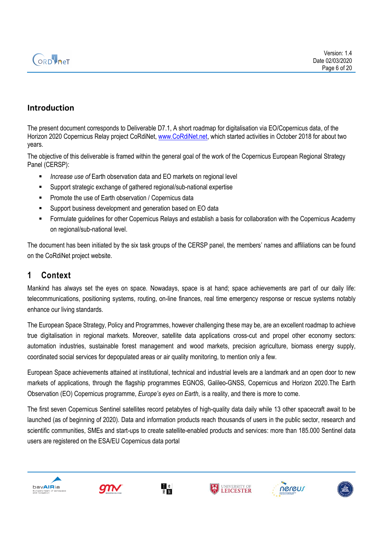

### **Introduction**

The present document corresponds to Deliverable D7.1, A short roadmap for digitalisation via EO/Copernicus data, of the Horizon 2020 Copernicus Relay project CoRdiNet, [www.CoRdiNet.net,](http://www.cordinet.net/) which started activities in October 2018 for about two years.

The objective of this deliverable is framed within the general goal of the work of the Copernicus European Regional Strategy Panel (CERSP):

- *Increase use of* Earth observation data and EO markets on regional level
- Support strategic exchange of gathered regional/sub-national expertise
- Promote the use of Earth observation / Copernicus data
- Support business development and generation based on EO data
- Formulate guidelines for other Copernicus Relays and establish a basis for collaboration with the Copernicus Academy on regional/sub-national level.

The document has been initiated by the six task groups of the CERSP panel, the members' names and affiliations can be found on the CoRdiNet project website.

### <span id="page-5-0"></span>**1 Context**

Mankind has always set the eyes on space. Nowadays, space is at hand; space achievements are part of our daily life: telecommunications, positioning systems, routing, on-line finances, real time emergency response or rescue systems notably enhance our living standards.

The European Space Strategy, Policy and Programmes, however challenging these may be, are an excellent roadmap to achieve true digitalisation in regional markets. Moreover, satellite data applications cross-cut and propel other economy sectors: automation industries, sustainable forest management and wood markets, precision agriculture, biomass energy supply, coordinated social services for depopulated areas or air quality monitoring, to mention only a few.

European Space achievements attained at institutional, technical and industrial levels are a landmark and an open door to new markets of applications, through the flagship programmes EGNOS, Galileo-GNSS, Copernicus and Horizon 2020.The Earth Observation (EO) Copernicus programme, *Europe's eyes on Earth*, is a reality, and there is more to come.

The first seven Copernicus Sentinel satellites record petabytes of high-quality data daily while 13 other spacecraft await to be launched (as of beginning of 2020). Data and information products reach thousands of users in the public sector, research and scientific communities, SMEs and start-ups to create satellite-enabled products and services: more than 185.000 Sentinel data users are registered on the ESA/EU Copernicus data portal











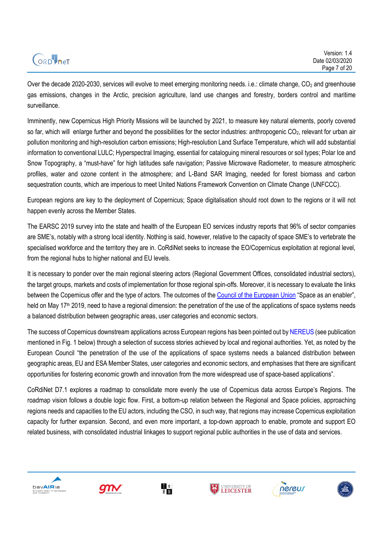|         | Version: 1.4    |
|---------|-----------------|
| ORDVNeT | Date 02/03/2020 |
|         | Page 7 of 20    |
|         |                 |

Over the decade 2020-2030, services will evolve to meet emerging monitoring needs. i.e.: climate change,  $CO<sub>2</sub>$  and greenhouse gas emissions, changes in the Arctic, precision agriculture, land use changes and forestry, borders control and maritime surveillance.

Imminently, new Copernicus High Priority Missions will be launched by 2021, to measure key natural elements, poorly covered so far, which will enlarge further and beyond the possibilities for the sector industries: anthropogenic  $CO<sub>2</sub>$ , relevant for urban air pollution monitoring and high-resolution carbon emissions; High-resolution Land Surface Temperature, which will add substantial information to conventional LULC; Hyperspectral Imaging, essential for cataloguing mineral resources or soil types; Polar Ice and Snow Topography, a "must-have" for high latitudes safe navigation; Passive Microwave Radiometer, to measure atmospheric profiles, water and ozone content in the atmosphere; and L-Band SAR Imaging, needed for forest biomass and carbon sequestration counts, which are imperious to meet United Nations Framework Convention on Climate Change (UNFCCC).

European regions are key to the deployment of Copernicus; Space digitalisation should root down to the regions or it will not happen evenly across the Member States.

The EARSC 2019 survey into the state and health of the European EO services industry reports that 96% of sector companies are SME's, notably with a strong local identity. Nothing is said, however, relative to the capacity of space SME's to vertebrate the specialised workforce and the territory they are in. CoRdiNet seeks to increase the EO/Copernicus exploitation at regional level, from the regional hubs to higher national and EU levels.

It is necessary to ponder over the main regional steering actors (Regional Government Offices, consolidated industrial sectors), the target groups, markets and costs of implementation for those regional spin-offs. Moreover, it is necessary to evaluate the links between the Copernicus offer and the type of actors. The outcomes of th[e Council of the European Union](https://www.consilium.europa.eu/media/39527/20190528-council-conclusions-space.pdf) "Space as an enabler", held on May 17<sup>th</sup> 2019, need to have a regional dimension: the penetration of the use of the applications of space systems needs a balanced distribution between geographic areas, user categories and economic sectors.

The success of Copernicus downstream applications across European regions has been pointed out b[y NEREUS](http://www.nereus-regions.eu/2019/06/07/download-the-ever-growing-use-of-copernicus-across-europes-regions/) (see publication mentioned in Fig. 1 below) through a selection of success stories achieved by local and regional authorities. Yet, as noted by the European Council "the penetration of the use of the applications of space systems needs a balanced distribution between geographic areas, EU and ESA Member States, user categories and economic sectors, and emphasises that there are significant opportunities for fostering economic growth and innovation from the more widespread use of space-based applications".

CoRdiNet D7.1 explores a roadmap to consolidate more evenly the use of Copernicus data across Europe's Regions. The roadmap vision follows a double logic flow. First, a bottom-up relation between the Regional and Space policies, approaching regions needs and capacities to the EU actors, including the CSO, in such way, that regions may increase Copernicus exploitation capacity for further expansion. Second, and even more important, a top-down approach to enable, promote and support EO related business, with consolidated industrial linkages to support regional public authorities in the use of data and services.











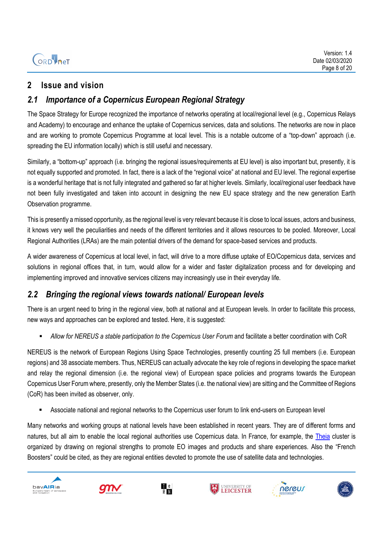## <span id="page-7-0"></span>**2 Issue and vision**

## <span id="page-7-1"></span>*2.1 Importance of a Copernicus European Regional Strategy*

The Space Strategy for Europe recognized the importance of networks operating at local/regional level (e.g., Copernicus Relays and Academy) to encourage and enhance the uptake of Copernicus services, data and solutions. The networks are now in place and are working to promote Copernicus Programme at local level. This is a notable outcome of a "top-down" approach (i.e. spreading the EU information locally) which is still useful and necessary.

Similarly, a "bottom-up" approach (i.e. bringing the regional issues/requirements at EU level) is also important but, presently, it is not equally supported and promoted. In fact, there is a lack of the "regional voice" at national and EU level. The regional expertise is a wonderful heritage that is not fully integrated and gathered so far at higher levels. Similarly, local/regional user feedback have not been fully investigated and taken into account in designing the new EU space strategy and the new generation Earth Observation programme.

This is presently a missed opportunity, as the regional level is very relevant because it is close to local issues, actors and business, it knows very well the peculiarities and needs of the different territories and it allows resources to be pooled. Moreover, Local Regional Authorities (LRAs) are the main potential drivers of the demand for space-based services and products.

A wider awareness of Copernicus at local level, in fact, will drive to a more diffuse uptake of EO/Copernicus data, services and solutions in regional offices that, in turn, would allow for a wider and faster digitalization process and for developing and implementing improved and innovative services citizens may increasingly use in their everyday life.

## <span id="page-7-2"></span>*2.2 Bringing the regional views towards national/ European levels*

There is an urgent need to bring in the regional view, both at national and at European levels. In order to facilitate this process, new ways and approaches can be explored and tested. Here, it is suggested:

▪ *Allow for NEREUS a stable participation to the Copernicus User Forum* and facilitate a better coordination with CoR

NEREUS is the network of European Regions Using Space Technologies, presently counting 25 full members (i.e. European regions) and 38 associate members. Thus, NEREUS can actually advocate the key role of regions in developing the space market and relay the regional dimension (i.e. the regional view) of European space policies and programs towards the European Copernicus User Forum where, presently, only the Member States (i.e. the national view) are sitting and the Committee of Regions (CoR) has been invited as observer, only.

Associate national and regional networks to the Copernicus user forum to link end-users on European level

Many networks and working groups at national levels have been established in recent years. They are of different forms and natures, but all aim to enable the local regional authorities use Copernicus data. In France, for example, the [Theia](https://www.theia-land.fr/) cluster is organized by drawing on regional strengths to promote EO images and products and share experiences. Also the "French Boosters" could be cited, as they are regional entities devoted to promote the use of satellite data and technologies.











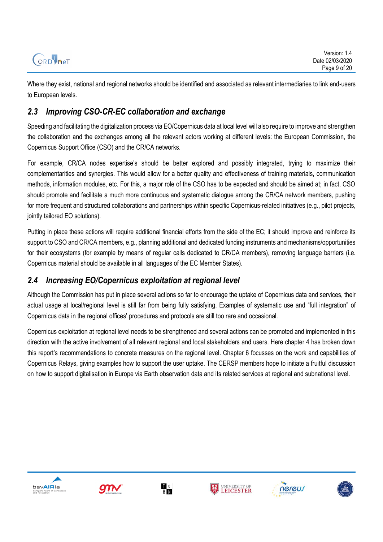Where they exist, national and regional networks should be identified and associated as relevant intermediaries to link end-users to European levels.

## <span id="page-8-0"></span>*2.3 Improving CSO-CR-EC collaboration and exchange*

Speeding and facilitating the digitalization process via EO/Copernicus data at local level will also require to improve and strengthen the collaboration and the exchanges among all the relevant actors working at different levels: the European Commission, the Copernicus Support Office (CSO) and the CR/CA networks.

For example, CR/CA nodes expertise's should be better explored and possibly integrated, trying to maximize their complementarities and synergies. This would allow for a better quality and effectiveness of training materials, communication methods, information modules, etc. For this, a major role of the CSO has to be expected and should be aimed at; in fact, CSO should promote and facilitate a much more continuous and systematic dialogue among the CR/CA network members, pushing for more frequent and structured collaborations and partnerships within specific Copernicus-related initiatives (e.g., pilot projects, jointly tailored EO solutions).

Putting in place these actions will require additional financial efforts from the side of the EC; it should improve and reinforce its support to CSO and CR/CA members, e.g., planning additional and dedicated funding instruments and mechanisms/opportunities for their ecosystems (for example by means of regular calls dedicated to CR/CA members), removing language barriers (i.e. Copernicus material should be available in all languages of the EC Member States).

## <span id="page-8-1"></span>*2.4 Increasing EO/Copernicus exploitation at regional level*

Although the Commission has put in place several actions so far to encourage the uptake of Copernicus data and services, their actual usage at local/regional level is still far from being fully satisfying. Examples of systematic use and "full integration" of Copernicus data in the regional offices' procedures and protocols are still too rare and occasional.

Copernicus exploitation at regional level needs to be strengthened and several actions can be promoted and implemented in this direction with the active involvement of all relevant regional and local stakeholders and users. Here chapter 4 has broken down this report's recommendations to concrete measures on the regional level. Chapter 6 focusses on the work and capabilities of Copernicus Relays, giving examples how to support the user uptake. The CERSP members hope to initiate a fruitful discussion on how to support digitalisation in Europe via Earth observation data and its related services at regional and subnational level.











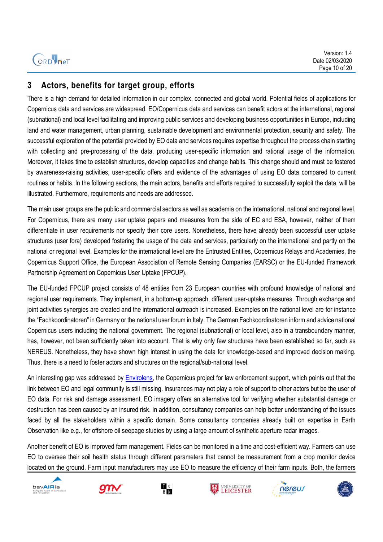

#### <span id="page-9-0"></span>**3 Actors, benefits for target group, efforts**

There is a high demand for detailed information in our complex, connected and global world. Potential fields of applications for Copernicus data and services are widespread. EO/Copernicus data and services can benefit actors at the international, regional (subnational) and local level facilitating and improving public services and developing business opportunities in Europe, including land and water management, urban planning, sustainable development and environmental protection, security and safety. The successful exploration of the potential provided by EO data and services requires expertise throughout the process chain starting with collecting and pre-processing of the data, producing user-specific information and rational usage of the information. Moreover, it takes time to establish structures, develop capacities and change habits. This change should and must be fostered by awareness-raising activities, user-specific offers and evidence of the advantages of using EO data compared to current routines or habits. In the following sections, the main actors, benefits and efforts required to successfully exploit the data, will be illustrated. Furthermore, requirements and needs are addressed.

The main user groups are the public and commercial sectors as well as academia on the international, national and regional level. For Copernicus, there are many user uptake papers and measures from the side of EC and ESA, however, neither of them differentiate in user requirements nor specify their core users. Nonetheless, there have already been successful user uptake structures (user fora) developed fostering the usage of the data and services, particularly on the international and partly on the national or regional level. Examples for the international level are the Entrusted Entities, Copernicus Relays and Academies, the Copernicus Support Office, the European Association of Remote Sensing Companies (EARSC) or the EU-funded Framework Partnership Agreement on Copernicus User Uptake (FPCUP).

The EU-funded FPCUP project consists of 48 entities from 23 European countries with profound knowledge of national and regional user requirements. They implement, in a bottom-up approach, different user-uptake measures. Through exchange and joint activities synergies are created and the international outreach is increased. Examples on the national level are for instance the "Fachkoordinatoren" in Germany or the national user forum in Italy. The German Fachkoordinatoren inform and advice national Copernicus users including the national government. The regional (subnational) or local level, also in a transboundary manner, has, however, not been sufficiently taken into account. That is why only few structures have been established so far, such as NEREUS. Nonetheless, they have shown high interest in using the data for knowledge-based and improved decision making. Thus, there is a need to foster actors and structures on the regional/sub-national level.

An interesting gap was addressed by [Envirolens,](https://envirolens.eu/2019/08/28/earth-observation-and-the-legal-community-a-missing-link/) the Copernicus project for law enforcement support, which points out that the link between EO and legal community is still missing. Insurances may not play a role of support to other actors but be the user of EO data. For risk and damage assessment, EO imagery offers an alternative tool for verifying whether substantial damage or destruction has been caused by an insured risk. In addition, consultancy companies can help better understanding of the issues faced by all the stakeholders within a specific domain. Some consultancy companies already built on expertise in Earth Observation like e.g., for offshore oil seepage studies by using a large amount of synthetic aperture radar images.

Another benefit of EO is improved farm management. Fields can be monitored in a time and cost-efficient way. Farmers can use EO to oversee their soil health status through different parameters that cannot be measurement from a crop monitor device located on the ground. Farm input manufacturers may use EO to measure the efficiency of their farm inputs. Both, the farmers











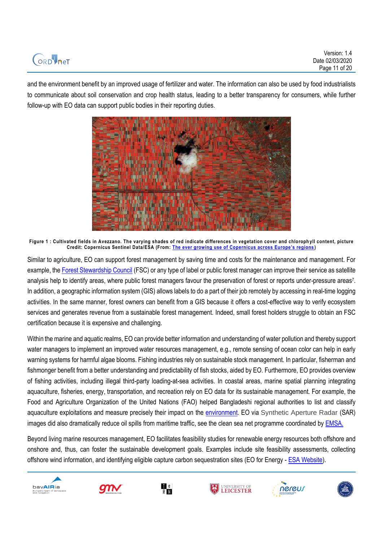

Version: 1.4 Date 02/03/2020 Page 11 of 20

and the environment benefit by an improved usage of fertilizer and water. The information can also be used by food industrialists to communicate about soil conservation and crop health status, leading to a better transparency for consumers, while further follow-up with EO data can support public bodies in their reporting duties.



**Figure 1 : Cultivated fields in Avezzano. The varying shades of red indicate differences in vegetation cover and chloroph yll content, picture Credit: Copernicus Sentinel Data/ESA (From: [The ever growing use of Copernicus across Europe's regions](https://www.copernicus.eu/sites/default/files/PUBLICATION_Copernicus4regions_2018.pdf) )**

Similar to agriculture, EO can support forest management by saving time and costs for the maintenance and management. For example, the [Forest Stewardship Council](https://fsc.org/en) (FSC) or any type of label or public forest manager can improve their service as satellite analysis help to identify areas, where public forest managers favour the preservation of forest or reports under-pressure areas<sup>7</sup>. In addition, a geographic information system (GIS) allows labels to do a part of their job remotely by accessing in real-time logging activities. In the same manner, forest owners can benefit from a GIS because it offers a cost-effective way to verify ecosystem services and generates revenue from a sustainable forest management. Indeed, small forest holders struggle to obtain an FSC certification because it is expensive and challenging.

Within the marine and aquatic realms, EO can provide better information and understanding of water pollution and thereby support water managers to implement an improved water resources management, e.g., remote sensing of ocean color can help in early warning systems for harmful algae blooms. Fishing industries rely on sustainable stock management. In particular, fisherman and fishmonger benefit from a better understanding and predictability of fish stocks, aided by EO. Furthermore, EO provides overview of fishing activities, including illegal third-party loading-at-sea activities. In coastal areas, marine spatial planning integrating aquaculture, fisheries, energy, transportation, and recreation rely on EO data for its sustainable management. For example, the Food and Agriculture Organization of the United Nations (FAO) helped Bangladeshi regional authorities to list and classify aquaculture exploitations and measure precisely their impact on the [environment.](https://fisheries.groupcls.com/satellite-observation-for-aquaculture-bangladesh) EO via Synthetic Aperture Radar (SAR) images did also dramatically reduce oil spills from maritime traffic, see the clean sea net programme coordinated by **EMSA**.

Beyond living marine resources management, EO facilitates feasibility studies for renewable energy resources both offshore and onshore and, thus, can foster the sustainable development goals. Examples include site feasibility assessments, collecting offshore wind information, and identifying eligible capture carbon sequestration sites (EO for Energy - [ESA Website\)](https://www.esa.int/Enabling_Support/Preparing_for_the_Future/Space_for_Earth/Energy/Earth_Observation_for_Energy).











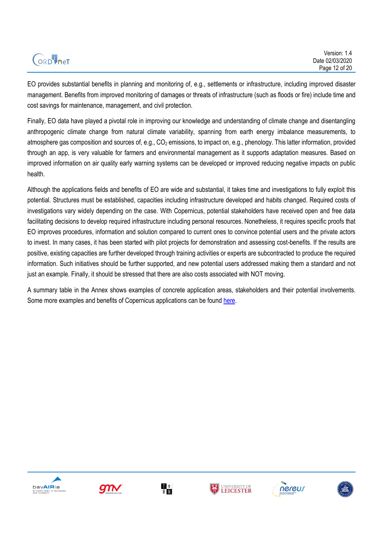# ORDINET

EO provides substantial benefits in planning and monitoring of, e.g., settlements or infrastructure, including improved disaster management. Benefits from improved monitoring of damages or threats of infrastructure (such as floods or fire) include time and cost savings for maintenance, management, and civil protection.

Finally, EO data have played a pivotal role in improving our knowledge and understanding of climate change and disentangling anthropogenic climate change from natural climate variability, spanning from earth energy imbalance measurements, to atmosphere gas composition and sources of, e.g.,  $CO<sub>2</sub>$  emissions, to impact on, e.g., phenology. This latter information, provided through an app, is very valuable for farmers and environmental management as it supports adaptation measures. Based on improved information on air quality early warning systems can be developed or improved reducing negative impacts on public health.

Although the applications fields and benefits of EO are wide and substantial, it takes time and investigations to fully exploit this potential. Structures must be established, capacities including infrastructure developed and habits changed. Required costs of investigations vary widely depending on the case. With Copernicus, potential stakeholders have received open and free data facilitating decisions to develop required infrastructure including personal resources. Nonetheless, it requires specific proofs that EO improves procedures, information and solution compared to current ones to convince potential users and the private actors to invest. In many cases, it has been started with pilot projects for demonstration and assessing cost-benefits. If the results are positive, existing capacities are further developed through training activities or experts are subcontracted to produce the required information. Such initiatives should be further supported, and new potential users addressed making them a standard and not just an example. Finally, it should be stressed that there are also costs associated with NOT moving.

A summary table in the Annex shows examples of concrete application areas, stakeholders and their potential involvements. Some more examples and benefits of Copernicus applications can be foun[d here.](https://www.copernicus.eu/en/documentation/information-material/benefits)











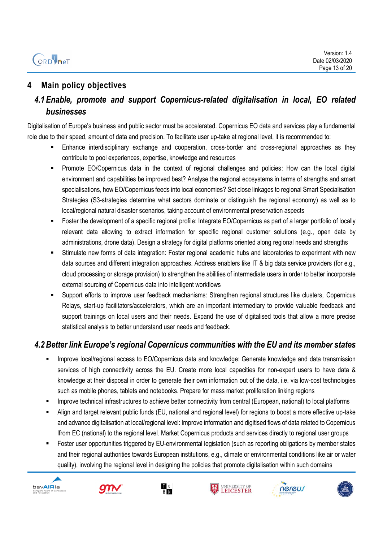# **ORD** PHET

## <span id="page-12-0"></span>**4 Main policy objectives**

## <span id="page-12-1"></span>*4.1 Enable, promote and support Copernicus-related digitalisation in local, EO related businesses*

Digitalisation of Europe's business and public sector must be accelerated. Copernicus EO data and services play a fundamental role due to their speed, amount of data and precision. To facilitate user up-take at regional level, it is recommended to:

- Enhance interdisciplinary exchange and cooperation, cross-border and cross-regional approaches as they contribute to pool experiences, expertise, knowledge and resources
- Promote EO/Copernicus data in the context of regional challenges and policies: How can the local digital environment and capabilities be improved best? Analyse the regional ecosystems in terms of strengths and smart specialisations, how EO/Copernicus feeds into local economies? Set close linkages to regional Smart Specialisation Strategies (S3-strategies determine what sectors dominate or distinguish the regional economy) as well as to local/regional natural disaster scenarios, taking account of environmental preservation aspects
- **EXECT FOSTER THE DEVELOPMENT OF A SPECIFIC REGIONAL PROFILE:** Integrate EO/Copernicus as part of a larger portfolio of locally relevant data allowing to extract information for specific regional customer solutions (e.g., open data by administrations, drone data). Design a strategy for digital platforms oriented along regional needs and strengths
- Stimulate new forms of data integration: Foster regional academic hubs and laboratories to experiment with new data sources and different integration approaches. Address enablers like IT & big data service providers (for e.g., cloud processing or storage provision) to strengthen the abilities of intermediate users in order to better incorporate external sourcing of Copernicus data into intelligent workflows
- Support efforts to improve user feedback mechanisms: Strengthen regional structures like clusters, Copernicus Relays, start-up facilitators/accelerators, which are an important intermediary to provide valuable feedback and support trainings on local users and their needs. Expand the use of digitalised tools that allow a more precise statistical analysis to better understand user needs and feedback.

## <span id="page-12-2"></span>*4.2Better link Europe's regional Copernicus communities with the EU and its member states*

- Improve local/regional access to EO/Copernicus data and knowledge: Generate knowledge and data transmission services of high connectivity across the EU. Create more local capacities for non-expert users to have data & knowledge at their disposal in order to generate their own information out of the data, i.e. via low-cost technologies such as mobile phones, tablets and notebooks. Prepare for mass market proliferation linking regions
- **■** Improve technical infrastructures to achieve better connectivity from central (European, national) to local platforms
- Align and target relevant public funds (EU, national and regional level) for regions to boost a more effective up-take and advance digitalisation at local/regional level: Improve information and digitised flows of data related to Copernicus lfrom EC (national) to the regional level. Market Copernicus products and services directly to regional user groups
- Foster user opportunities triggered by EU-environmental legislation (such as reporting obligations by member states and their regional authorities towards European institutions, e.g., climate or environmental conditions like air or water quality), involving the regional level in designing the policies that promote digitalisation within such domains











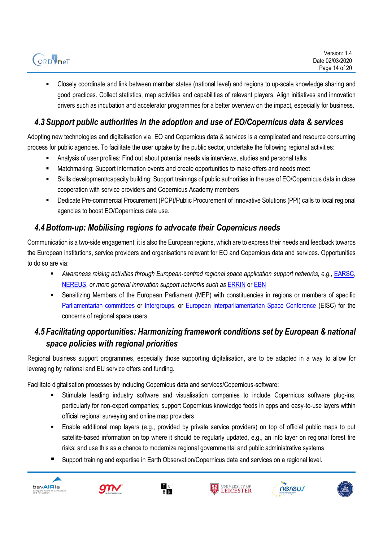▪ Closely coordinate and link between member states (national level) and regions to up-scale knowledge sharing and good practices. Collect statistics, map activities and capabilities of relevant players. Align initiatives and innovation drivers such as incubation and accelerator programmes for a better overview on the impact, especially for business.

## <span id="page-13-0"></span>*4.3 Support public authorities in the adoption and use of EO/Copernicus data & services*

Adopting new technologies and digitalisation via EO and Copernicus data & services is a complicated and resource consuming process for public agencies. To facilitate the user uptake by the public sector, undertake the following regional activities:

- Analysis of user profiles: Find out about potential needs via interviews, studies and personal talks
- Matchmaking: Support information events and create opportunities to make offers and needs meet
- Skills development/capacity building: Support trainings of public authorities in the use of EO/Copernicus data in close cooperation with service providers and Copernicus Academy members
- Dedicate Pre-commercial Procurement (PCP)/Public Procurement of Innovative Solutions (PPI) calls to local regional agencies to boost EO/Copernicus data use.

## <span id="page-13-1"></span>*4.4Bottom-up: Mobilising regions to advocate their Copernicus needs*

Communication is a two-side engagement; it is also the European regions, which are to express their needs and feedback towards the European institutions, service providers and organisations relevant for EO and Copernicus data and services. Opportunities to do so are via:

- *Awareness raising activities through European-centred regional space application support networks, e.g.,* [EARSC,](http://earsc.org/)  [NEREUS,](http://www.nereus-regions.eu/) *or more general innovation support networks such as* [ERRIN](https://errin.eu/) o[r EBN](http://www.ebn.eu/)
- Sensitizing Members of the European Parliament (MEP) with constituencies in regions or members of specific [Parliamentarian committees](https://www.europarl.europa.eu/committees/en/parliamentary-committees.html) or [Intergroups,](https://www.europarl.europa.eu/about-parliament/en/organisation-and-rules/organisation/intergroups) or [European Interparliamentarian Space Conference](https://eisc-europa.eu/) (EISC) for the concerns of regional space users.

## <span id="page-13-2"></span>*4.5 Facilitating opportunities: Harmonizing framework conditions set by European & national space policies with regional priorities*

Regional business support programmes, especially those supporting digitalisation, are to be adapted in a way to allow for leveraging by national and EU service offers and funding.

Facilitate digitalisation processes by including Copernicus data and services/Copernicus-software:

- Stimulate leading industry software and visualisation companies to include Copernicus software plug-ins, particularly for non-expert companies; support Copernicus knowledge feeds in apps and easy-to-use layers within official regional surveying and online map providers
- Enable additional map layers (e.g., provided by private service providers) on top of official public maps to put satellite-based information on top where it should be regularly updated, e.g., an info layer on regional forest fire risks; and use this as a chance to modernize regional governmental and public administrative systems
- Support training and expertise in Earth Observation/Copernicus data and services on a regional level.











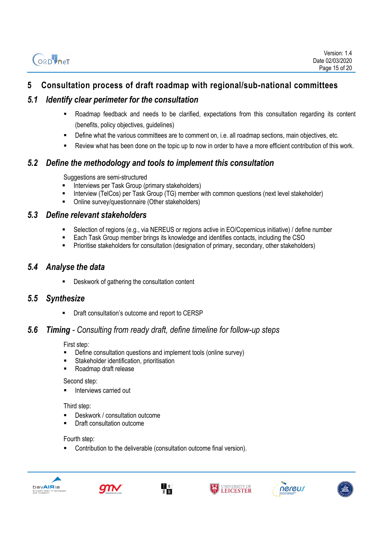ORD<sup>1</sup> net

### <span id="page-14-0"></span>**5 Consultation process of draft roadmap with regional/sub-national committees**

#### <span id="page-14-1"></span>*5.1 Identify clear perimeter for the consultation*

- Roadmap feedback and needs to be clarified, expectations from this consultation regarding its content (benefits, policy objectives, guidelines)
- **•** Define what the various committees are to comment on, i.e. all roadmap sections, main objectives, etc.
- Review what has been done on the topic up to now in order to have a more efficient contribution of this work.

#### <span id="page-14-2"></span>*5.2 Define the methodology and tools to implement this consultation*

Suggestions are semi-structured

- **E** Interviews per Task Group (primary stakeholders)
- Interview (TelCos) per Task Group (TG) member with common questions (next level stakeholder)
- Online survey/questionnaire (Other stakeholders)

#### <span id="page-14-3"></span>*5.3 Define relevant stakeholders*

- Selection of regions (e.g., via NEREUS or regions active in EO/Copernicus initiative) / define number
- Each Task Group member brings its knowledge and identifies contacts, including the CSO
- **•** Prioritise stakeholders for consultation (designation of primary, secondary, other stakeholders)

#### <span id="page-14-4"></span>*5.4 Analyse the data*

Deskwork of gathering the consultation content

#### <span id="page-14-5"></span>*5.5 Synthesize*

■ Draft consultation's outcome and report to CERSP

#### <span id="page-14-6"></span>*5.6 Timing - Consulting from ready draft, define timeline for follow-up steps*

First step:

- Define consultation questions and implement tools (online survey)
- Stakeholder identification, prioritisation
- Roadmap draft release

Second step:

Interviews carried out

Third step:

- Deskwork / consultation outcome
- Draft consultation outcome

#### Fourth step:

Contribution to the deliverable (consultation outcome final version).











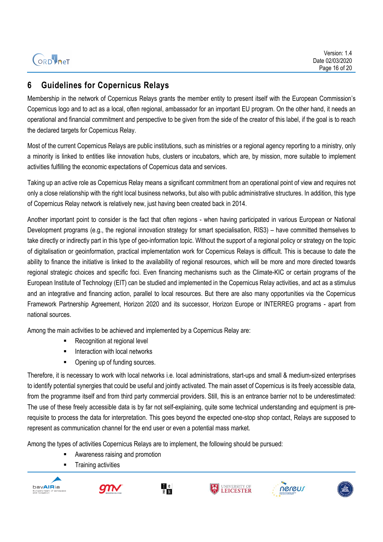ORD<sup>i</sup>net

## <span id="page-15-0"></span>**6 Guidelines for Copernicus Relays**

Membership in the network of Copernicus Relays grants the member entity to present itself with the European Commission's Copernicus logo and to act as a local, often regional, ambassador for an important EU program. On the other hand, it needs an operational and financial commitment and perspective to be given from the side of the creator of this label, if the goal is to reach the declared targets for Copernicus Relay.

Most of the current Copernicus Relays are public institutions, such as ministries or a regional agency reporting to a ministry, only a minority is linked to entities like innovation hubs, clusters or incubators, which are, by mission, more suitable to implement activities fulfilling the economic expectations of Copernicus data and services.

Taking up an active role as Copernicus Relay means a significant commitment from an operational point of view and requires not only a close relationship with the right local business networks, but also with public administrative structures. In addition, this type of Copernicus Relay network is relatively new, just having been created back in 2014.

Another important point to consider is the fact that often regions - when having participated in various European or National Development programs (e.g., the regional innovation strategy for smart specialisation, RIS3) – have committed themselves to take directly or indirectly part in this type of geo-information topic. Without the support of a regional policy or strategy on the topic of digitalisation or geoinformation, practical implementation work for Copernicus Relays is difficult. This is because to date the ability to finance the initiative is linked to the availability of regional resources, which will be more and more directed towards regional strategic choices and specific foci. Even financing mechanisms such as the Climate-KIC or certain programs of the European Institute of Technology (EIT) can be studied and implemented in the Copernicus Relay activities, and act as a stimulus and an integrative and financing action, parallel to local resources. But there are also many opportunities via the Copernicus Framework Partnership Agreement, Horizon 2020 and its successor, Horizon Europe or INTERREG programs - apart from national sources.

Among the main activities to be achieved and implemented by a Copernicus Relay are:

- Recognition at regional level
- **■** Interaction with local networks
- Opening up of funding sources.

Therefore, it is necessary to work with local networks i.e. local administrations, start-ups and small & medium-sized enterprises to identify potential synergies that could be useful and jointly activated. The main asset of Copernicus is its freely accessible data, from the programme itself and from third party commercial providers. Still, this is an entrance barrier not to be underestimated: The use of these freely accessible data is by far not self-explaining, quite some technical understanding and equipment is prerequisite to process the data for interpretation. This goes beyond the expected one-stop shop contact, Relays are supposed to represent as communication channel for the end user or even a potential mass market.

Among the types of activities Copernicus Relays are to implement, the following should be pursued:

- Awareness raising and promotion
- **Training activities**











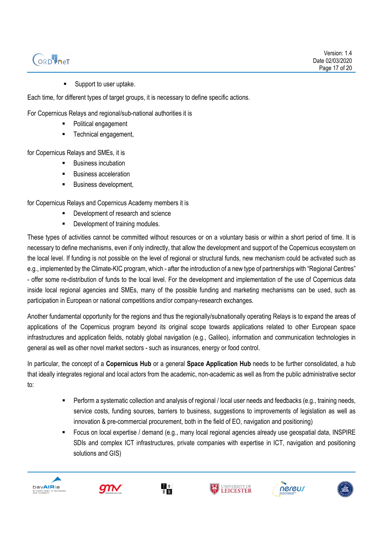# ORDVNeT

Support to user uptake.

Each time, for different types of target groups, it is necessary to define specific actions.

For Copernicus Relays and regional/sub-national authorities it is

- Political engagement
- Technical engagement,

for Copernicus Relays and SMEs, it is

- **Business incubation**
- **Business acceleration**
- **Business development,**

for Copernicus Relays and Copernicus Academy members it is

- Development of research and science
- Development of training modules.

These types of activities cannot be committed without resources or on a voluntary basis or within a short period of time. It is necessary to define mechanisms, even if only indirectly, that allow the development and support of the Copernicus ecosystem on the local level. If funding is not possible on the level of regional or structural funds, new mechanism could be activated such as e.g., implemented by the Climate-KIC program, which - after the introduction of a new type of partnerships with "Regional Centres" - offer some re-distribution of funds to the local level. For the development and implementation of the use of Copernicus data inside local regional agencies and SMEs, many of the possible funding and marketing mechanisms can be used, such as participation in European or national competitions and/or company-research exchanges.

Another fundamental opportunity for the regions and thus the regionally/subnationally operating Relays is to expand the areas of applications of the Copernicus program beyond its original scope towards applications related to other European space infrastructures and application fields, notably global navigation (e.g., Galileo), information and communication technologies in general as well as other novel market sectors - such as insurances, energy or food control.

In particular, the concept of a **Copernicus Hub** or a general **Space Application Hub** needs to be further consolidated, a hub that ideally integrates regional and local actors from the academic, non-academic as well as from the public administrative sector to:

- Perform a systematic collection and analysis of regional / local user needs and feedbacks (e.g., training needs, service costs, funding sources, barriers to business, suggestions to improvements of legislation as well as innovation & pre-commercial procurement, both in the field of EO, navigation and positioning)
- Focus on local expertise / demand (e.g., many local regional agencies already use geospatial data, INSPIRE SDIs and complex ICT infrastructures, private companies with expertise in ICT, navigation and positioning solutions and GIS)











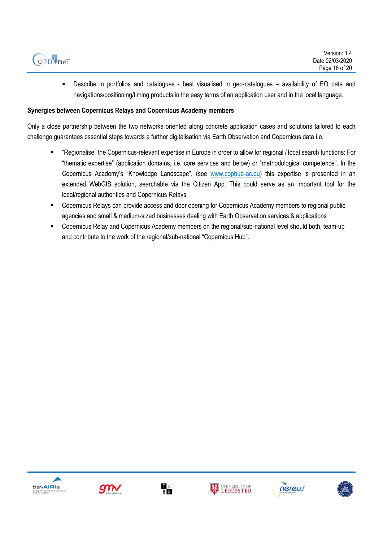

▪ Describe in portfolios and catalogues - best visualised in geo-catalogues – availability of EO data and navigations/positioning/timing products in the easy terms of an application user and in the local language.

#### **Synergies between Copernicus Relays and Copernicus Academy members**

Only a close partnership between the two networks oriented along concrete application cases and solutions tailored to each challenge guarantees essential steps towards a further digitalisation via Earth Observation and Copernicus data i.e.

- "Regionalise" the Copernicus-relevant expertise in Europe in order to allow for regional / local search functions: For "thematic expertise" (application domains, i.e. core services and below) or "methodological competence". In the Copernicus Academy's "Knowledge Landscape", (see [www.cophub-ac.eu\)](http://www.cophub-ac.eu/) this expertise is presented in an extended WebGIS solution, searchable via the Citizen App. This could serve as an important tool for the local/regional authorities and Copernicus Relays
- Copernicus Relays can provide access and door opening for Copernicus Academy members to regional public agencies and small & medium-sized businesses dealing with Earth Observation services & applications
- Copernicus Relay and Copernicus Academy members on the regional/sub-national level should both, team-up and contribute to the work of the regional/sub-national "Copernicus Hub".











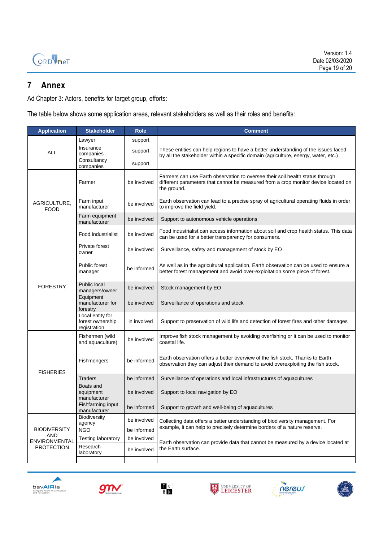

### <span id="page-18-0"></span>**7 Annex**

Ad Chapter 3: Actors, benefits for target group, efforts:

The table below shows some application areas, relevant stakeholders as well as their roles and benefits:

| <b>Application</b>                 | <b>Stakeholder</b>                                   | <b>Role</b>                | Comment                                                                                                                                                                            |  |
|------------------------------------|------------------------------------------------------|----------------------------|------------------------------------------------------------------------------------------------------------------------------------------------------------------------------------|--|
|                                    | Lawyer                                               | support                    |                                                                                                                                                                                    |  |
| <b>ALL</b>                         | Insurance<br>companies                               | support                    | These entities can help regions to have a better understanding of the issues faced<br>by all the stakeholder within a specific domain (agriculture, energy, water, etc.)           |  |
|                                    | Consultancy<br>companies                             | support                    |                                                                                                                                                                                    |  |
| AGRICULTURE,<br><b>FOOD</b>        | Farmer                                               | be involved                | Farmers can use Earth observation to oversee their soil health status through<br>different parameters that cannot be measured from a crop monitor device located on<br>the ground. |  |
|                                    | Farm input<br>manufacturer                           | be involved                | Earth observation can lead to a precise spray of agricultural operating fluids in order<br>to improve the field yield.                                                             |  |
|                                    | Farm equipment<br>manufacturer                       | be involved                | Support to autonomous vehicle operations                                                                                                                                           |  |
|                                    | Food industrialist                                   | be involved                | Food industrialist can access information about soil and crop health status. This data<br>can be used for a better transparency for consumers.                                     |  |
|                                    | Private forest<br>owner                              | be involved                | Surveillance, safety and management of stock by EO                                                                                                                                 |  |
|                                    | Public forest<br>manager                             | be informed                | As well as in the agricultural application, Earth observation can be used to ensure a<br>better forest management and avoid over-exploitation some piece of forest.                |  |
| <b>FORESTRY</b>                    | Public local<br>managers/owner                       | be involved                | Stock management by EO                                                                                                                                                             |  |
|                                    | Equipment<br>manufacturer for<br>forestry            | be involved                | Surveillance of operations and stock                                                                                                                                               |  |
|                                    | Local entity for<br>forest ownership<br>registration | in involved                | Support to preservation of wild life and detection of forest fires and other damages                                                                                               |  |
|                                    | Fishermen (wild<br>and aquaculture)                  | be involved                | Improve fish stock management by avoiding overfishing or it can be used to monitor<br>coastal life.                                                                                |  |
| <b>FISHERIES</b>                   | Fishmongers                                          | be informed                | Earth observation offers a better overview of the fish stock. Thanks to Earth<br>observation they can adjust their demand to avoid overexploiting the fish stock.                  |  |
|                                    | Traders                                              | be informed                | Surveillance of operations and local infrastructures of aquacultures                                                                                                               |  |
|                                    | Boats and<br>equipment<br>manufacturer               | be involved                | Support to local navigation by EO                                                                                                                                                  |  |
|                                    | Fishfarming input<br>manufacturer                    | be informed                | Support to growth and well-being of aquacultures                                                                                                                                   |  |
|                                    | Biodiversity<br>agency                               | be involved                | Collecting data offers a better understanding of biodiversity management. For<br>example, it can help to precisely determine borders of a nature reserve.                          |  |
| <b>BIODIVERSITY</b><br><b>AND</b>  | <b>NGO</b>                                           | be informed                |                                                                                                                                                                                    |  |
| ENVIRONMENTAL<br><b>PROTECTION</b> | <b>Testing laboratory</b><br>Research<br>laboratory  | be involved<br>be involved | Earth observation can provide data that cannot be measured by a device located at<br>the Earth surface.                                                                            |  |
|                                    |                                                      |                            |                                                                                                                                                                                    |  |